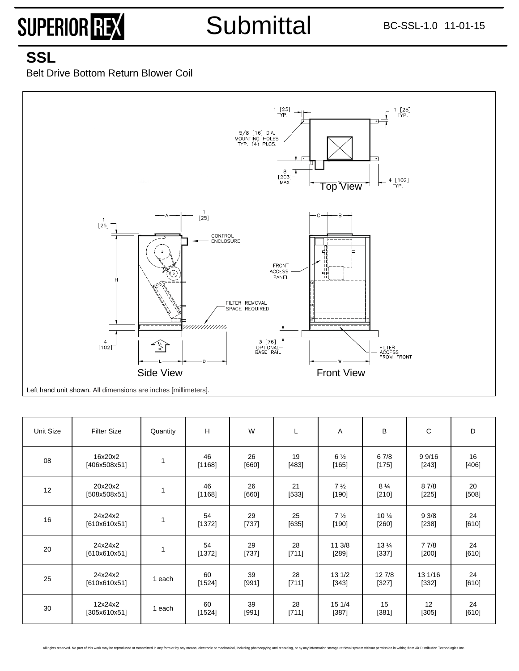### **SSL**

Belt Drive Bottom Return Blower Coil



| Unit Size | <b>Filter Size</b>      | Quantity     | н            | W             | L           | Α                         | B                          | С                  | D             |
|-----------|-------------------------|--------------|--------------|---------------|-------------|---------------------------|----------------------------|--------------------|---------------|
| 08        | 16x20x2<br>[406x508x51] | 1            | 46<br>[1168] | 26<br>$[660]$ | 19<br>[483] | $6\frac{1}{2}$<br>$[165]$ | 67/8<br>[175]              | 9 9/16<br>$[243]$  | 16<br>[406]   |
| 12        | 20x20x2<br>[508x508x51] | 1            | 46<br>[1168] | 26<br>$[660]$ | 21<br>[533] | $7\frac{1}{2}$<br>$[190]$ | $8\frac{1}{4}$<br>$[210]$  | 87/8<br>$[225]$    | 20<br>[508]   |
| 16        | 24x24x2<br>[610x610x51] | 1            | 54<br>[1372] | 29<br>[737]   | 25<br>[635] | $7\frac{1}{2}$<br>$[190]$ | $10\frac{1}{4}$<br>$[260]$ | 93/8<br>[238]      | 24<br>$[610]$ |
| 20        | 24x24x2<br>[610x610x51] | $\mathbf{1}$ | 54<br>[1372] | 29<br>[737]   | 28<br>[711] | 11 3/8<br>$[289]$         | $13\frac{1}{4}$<br>[337]   | 7 7/8<br>$[200]$   | 24<br>[610]   |
| 25        | 24x24x2<br>[610x610x51] | 1 each       | 60<br>[1524] | 39<br>[991]   | 28<br>[711] | 131/2<br>[343]            | 12 7/8<br>$[327]$          | 13 1/16<br>$[332]$ | 24<br>[610]   |
| 30        | 12x24x2<br>[305x610x51] | 1 each       | 60<br>[1524] | 39<br>[991]   | 28<br>[711] | 15 1/4<br>[387]           | 15<br>[381]                | 12<br>[305]        | 24<br>[610]   |

All rights reserved. No part of this work may be reproduced or transmitted in any form or by any means, electronic or mechanical, including photocopying and recording, or by any information storage retrieval system without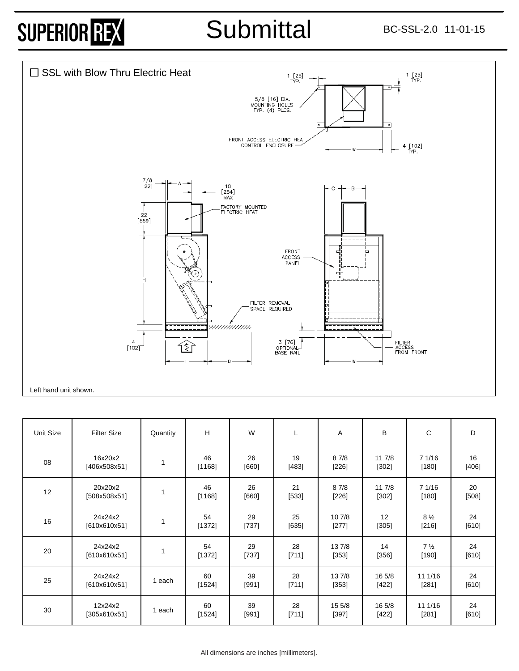## Submittal BC-SSL-2.0 11-01-15



| Unit Size | <b>Filter Size</b>      | Quantity | H              | W             | ┗             | Α                 | B                 | C                         | D             |
|-----------|-------------------------|----------|----------------|---------------|---------------|-------------------|-------------------|---------------------------|---------------|
| 08        | 16x20x2<br>[406x508x51] | 1        | 46<br>[1168]   | 26<br>[660]   | 19<br>[483]   | 87/8<br>$[226]$   | 11 7/8<br>$[302]$ | 7 1/16<br>$[180]$         | 16<br>$[406]$ |
| 12        | 20x20x2<br>[508x508x51] | 1        | 46<br>[1168]   | 26<br>$[660]$ | 21<br>[533]   | 87/8<br>$[226]$   | 11 7/8<br>[302]   | 7 1/16<br>$[180]$         | 20<br>$[508]$ |
| 16        | 24x24x2<br>[610x610x51] | 1        | 54<br>[1372]   | 29<br>$[737]$ | 25<br>$[635]$ | 10 7/8<br>$[277]$ | 12<br>[305]       | $8\frac{1}{2}$<br>$[216]$ | 24<br>$[610]$ |
| 20        | 24x24x2<br>[610x610x51] | 1        | 54<br>$[1372]$ | 29<br>[737]   | 28<br>[711]   | 13 7/8<br>[353]   | 14<br>[356]       | $7\frac{1}{2}$<br>$[190]$ | 24<br>$[610]$ |
| 25        | 24x24x2<br>[610x610x51] | 1 each   | 60<br>[1524]   | 39<br>[991]   | 28<br>[711]   | 13 7/8<br>$[353]$ | 16 5/8<br>$[422]$ | 11 1/16<br>[281]          | 24<br>[610]   |
| 30        | 12x24x2<br>[305x610x51] | 1 each   | 60<br>[1524]   | 39<br>[991]   | 28<br>[711]   | 15 5/8<br>$[397]$ | 16 5/8<br>$[422]$ | 11 1/16<br>$[281]$        | 24<br>$[610]$ |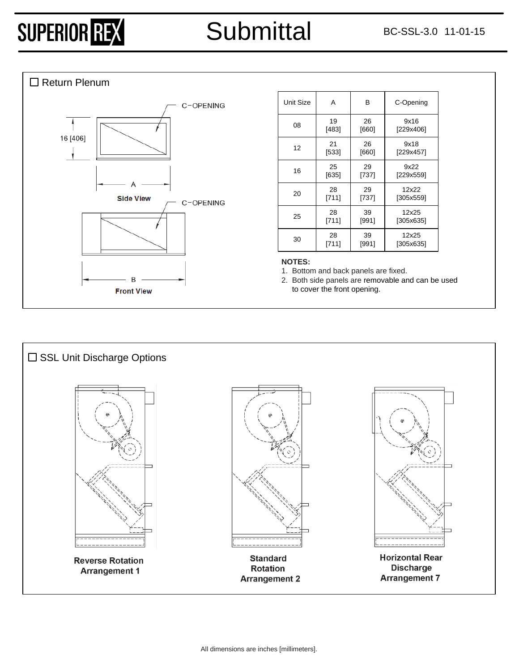### □ Return Plenum



| Unit Size | A       | B     | C-Opening |
|-----------|---------|-------|-----------|
| 08        | 19      | 26    | 9x16      |
|           | [483]   | [660] | [229x406] |
| 12        | 21      | 26    | 9x18      |
|           | [533]   | [660] | [229x457] |
| 16        | 25      | 29    | 9x22      |
|           | $[635]$ | [737] | [229x559] |
| 20        | 28      | 29    | 12x22     |
|           | [711]   | [737] | [305x559] |
| 25        | 28      | 39    | 12x25     |
|           | [711]   | [991] | [305x635] |
| 30        | 28      | 39    | 12x25     |
|           | [711]   | [991] | [305x635] |

#### **NOTES:**

1. Bottom and back panels are fixed.

2. Both side panels are removable and can be used to cover the front opening.

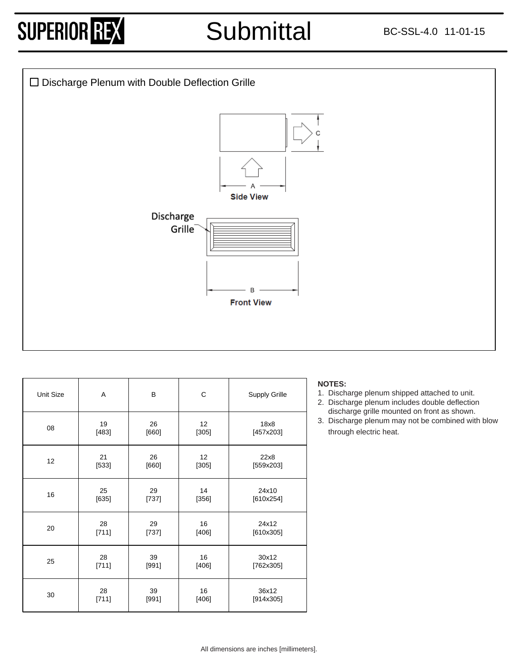### Submittal BC-SSL-4.0 11-01-15



| Unit Size | Α             | B             | $\mathsf C$              | Supply Grille      | <b>NOTES:</b><br>1. Discharge plenum sh<br>2. Discharge plenum in<br>discharge grille mour |
|-----------|---------------|---------------|--------------------------|--------------------|--------------------------------------------------------------------------------------------|
| 08        | 19<br>[483]   | 26<br>[660]   | 12 <sup>°</sup><br>[305] | 18x8<br>[457x203]  | 3. Discharge plenum ma<br>through electric heat.                                           |
| 12        | 21<br>[533]   | 26<br>$[660]$ | 12 <sup>2</sup><br>[305] | 22x8<br>[559x203]  |                                                                                            |
| 16        | 25<br>$[635]$ | 29<br>[737]   | 14<br>[356]              | 24x10<br>[610x254] |                                                                                            |
| 20        | 28<br>[711]   | 29<br>[737]   | 16<br>[406]              | 24x12<br>[610x305] |                                                                                            |
| 25        | 28<br>[711]   | 39<br>[991]   | 16<br>[406]              | 30x12<br>[762x305] |                                                                                            |
| 30        | 28<br>[711]   | 39<br>[991]   | 16<br>$[406]$            | 36x12<br>[914x305] |                                                                                            |

#### **NOTES:**

- 1. Discharge plenum shipped attached to unit.
- 2. Discharge plenum includes double deflection discharge grille mounted on front as shown.
- 3. Discharge plenum may not be combined with blow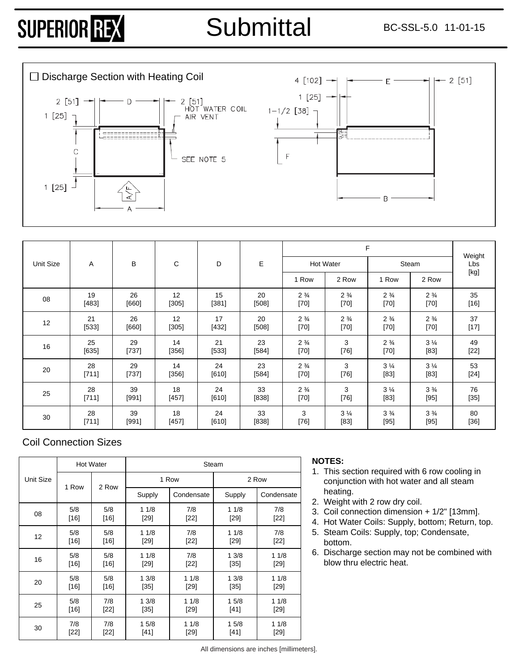# Submittal BC-SSL-5.0 11-01-15

 $2[51]$ 



|           |       |         |         |         |         |                |                  | Weight         |                |                                                                                                                                                                                                                                                                                                                                                                                                                                                                                                                                                                                                                                                                    |  |
|-----------|-------|---------|---------|---------|---------|----------------|------------------|----------------|----------------|--------------------------------------------------------------------------------------------------------------------------------------------------------------------------------------------------------------------------------------------------------------------------------------------------------------------------------------------------------------------------------------------------------------------------------------------------------------------------------------------------------------------------------------------------------------------------------------------------------------------------------------------------------------------|--|
| Unit Size | A     | В       | С       | D       | Е       |                | <b>Hot Water</b> |                | Steam          |                                                                                                                                                                                                                                                                                                                                                                                                                                                                                                                                                                                                                                                                    |  |
|           |       |         |         |         |         | 1 Row          | 2 Row            | 1 Row          | 2 Row          | $[kg] % \begin{center} % \includegraphics[width=\linewidth]{imagesSupplemental_3.png} % \end{center} % \caption { % \textit{DefNet} of the \textit{DefNet} dataset. % Note that the \textit{DefNet} and \textit{DefNet} dataset. % Note that the \textit{DefNet} and \textit{DefNet} dataset. % Note that the \textit{DefNet} and \textit{DefNet} dataset. % Note that the \textit{DefNet} and \textit{DefNet} dataset. % Note that the \textit{DefNet} and \textit{DefNet} dataset. % Note that the \textit{DefNet} and \textit{DefNet} dataset. % Note that the \textit{DefNet} and \textit{DefNet} dataset. % Note that the \textit{DefNet} and \textit{DefNet$ |  |
| 08        | 19    | 26      | 12      | 15      | 20      | $2\frac{3}{4}$ | $2\frac{3}{4}$   | $2\frac{3}{4}$ | $2\frac{3}{4}$ | 35                                                                                                                                                                                                                                                                                                                                                                                                                                                                                                                                                                                                                                                                 |  |
|           | [483] | [660]   | $[305]$ | [381]   | $[508]$ | $[70]$         | $[70]$           | $[70]$         | $[70]$         | $[16]$                                                                                                                                                                                                                                                                                                                                                                                                                                                                                                                                                                                                                                                             |  |
| 12        | 21    | 26      | 12      | 17      | 20      | $2\frac{3}{4}$ | $2\frac{3}{4}$   | $2\frac{3}{4}$ | $2\frac{3}{4}$ | 37                                                                                                                                                                                                                                                                                                                                                                                                                                                                                                                                                                                                                                                                 |  |
|           | [533] | [660]   | $[305]$ | [432]   | $[508]$ | $[70]$         | $[70]$           | $[70]$         | $[70]$         | $[17]$                                                                                                                                                                                                                                                                                                                                                                                                                                                                                                                                                                                                                                                             |  |
| 16        | 25    | 29      | 14      | 21      | 23      | $2\frac{3}{4}$ | 3                | $2\frac{3}{4}$ | $3\frac{1}{4}$ | 49                                                                                                                                                                                                                                                                                                                                                                                                                                                                                                                                                                                                                                                                 |  |
|           | [635] | $[737]$ | $[356]$ | $[533]$ | [584]   | $[70]$         | $[76]$           | [70]           | $[83]$         | $[22]$                                                                                                                                                                                                                                                                                                                                                                                                                                                                                                                                                                                                                                                             |  |
| 20        | 28    | 29      | 14      | 24      | 23      | $2\frac{3}{4}$ | 3                | $3\frac{1}{4}$ | $3\frac{1}{4}$ | 53                                                                                                                                                                                                                                                                                                                                                                                                                                                                                                                                                                                                                                                                 |  |
|           | [711] | [737]   | [356]   | [610]   | [584]   | $[70]$         | $[76]$           | $[83]$         | $[83]$         | $[24]$                                                                                                                                                                                                                                                                                                                                                                                                                                                                                                                                                                                                                                                             |  |
| 25        | 28    | 39      | 18      | 24      | 33      | $2\frac{3}{4}$ | 3                | $3\frac{1}{4}$ | $3\frac{3}{4}$ | 76                                                                                                                                                                                                                                                                                                                                                                                                                                                                                                                                                                                                                                                                 |  |
|           | [711] | [991]   | [457]   | [610]   | [838]   | $[70]$         | $[76]$           | $[83]$         | $[95]$         | $[35]$                                                                                                                                                                                                                                                                                                                                                                                                                                                                                                                                                                                                                                                             |  |
| 30        | 28    | 39      | 18      | 24      | 33      | 3              | $3\frac{1}{4}$   | $3\frac{3}{4}$ | $3\frac{3}{4}$ | 80                                                                                                                                                                                                                                                                                                                                                                                                                                                                                                                                                                                                                                                                 |  |
|           | [711] | [991]   | $[457]$ | $[610]$ | $[838]$ | $[76]$         | $[83]$           | $[95]$         | $[95]$         | $[36]$                                                                                                                                                                                                                                                                                                                                                                                                                                                                                                                                                                                                                                                             |  |

### Coil Connection Sizes

|           |        | <b>Hot Water</b> |        | Steam      |        |            |  |
|-----------|--------|------------------|--------|------------|--------|------------|--|
| Unit Size | 1 Row  | 2 Row            |        | 1 Row      | 2 Row  |            |  |
|           |        |                  | Supply | Condensate | Supply | Condensate |  |
| 08        | 5/8    | 5/8              | 11/8   | 7/8        | 11/8   | 7/8        |  |
|           | $[16]$ | [16]             | $[29]$ | $[22]$     | $[29]$ | $[22]$     |  |
| 12        | 5/8    | 5/8              | 11/8   | 7/8        | 11/8   | 7/8        |  |
|           | $[16]$ | [16]             | $[29]$ | [22]       | $[29]$ | $[22]$     |  |
| 16        | 5/8    | 5/8              | 11/8   | 7/8        | 13/8   | 11/8       |  |
|           | $[16]$ | $[16]$           | [29]   | $[22]$     | $[35]$ | $[29]$     |  |
| 20        | 5/8    | 5/8              | 13/8   | 11/8       | 13/8   | 11/8       |  |
|           | [16]   | [16]             | $[35]$ | [29]       | $[35]$ | $[29]$     |  |
| 25        | 5/8    | 7/8              | 13/8   | 11/8       | 15/8   | 11/8       |  |
|           | [16]   | [22]             | $[35]$ | [29]       | $[41]$ | $[29]$     |  |
| 30        | 7/8    | 7/8              | 15/8   | 11/8       | 15/8   | 11/8       |  |
|           | [22]   | [22]             | [41]   | [29]       | $[41]$ | $[29]$     |  |

### **NOTES:**

- 1. This section required with 6 row cooling in conjunction with hot water and all steam heating.
- 2. Weight with 2 row dry coil.
- 3. Coil connection dimension + 1/2" [13mm].
- 4. Hot Water Coils: Supply, bottom; Return, top.
- 5. Steam Coils: Supply, top; Condensate, bottom.
- 6. Discharge section may not be combined with blow thru electric heat.

All dimensions are inches [millimeters].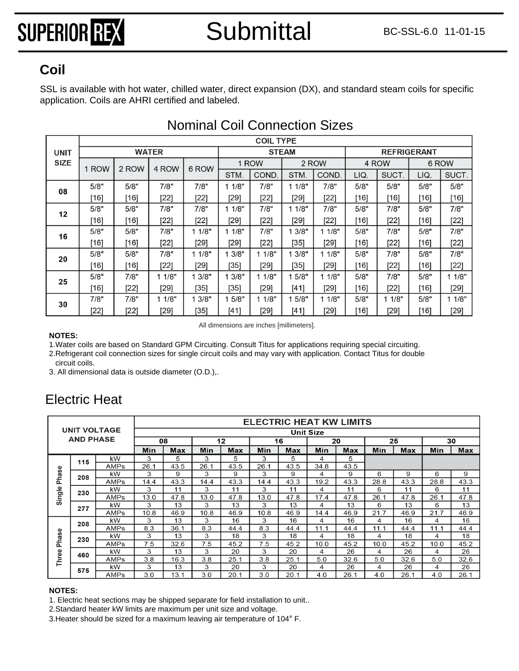SSL is available with hot water, chilled water, direct expansion (DX), and standard steam coils for specific  $\textsf{Coll} \textsc{}\textsf{SSL}$  is available with hot water, chilled water, dire<br>application. Coils are AHRI certified and labeled.

|             |        | <b>COIL TYPE</b> |              |        |        |        |              |        |                    |        |       |        |  |  |  |
|-------------|--------|------------------|--------------|--------|--------|--------|--------------|--------|--------------------|--------|-------|--------|--|--|--|
| UNIT        |        |                  | <b>WATER</b> |        |        |        | <b>STEAM</b> |        | <b>REFRIGERANT</b> |        |       |        |  |  |  |
| <b>SIZE</b> | 1 ROW  | 2 ROW            | 4 ROW        | 6 ROW  |        | 1 ROW  |              | 2 ROW  |                    | 4 ROW  | 6 ROW |        |  |  |  |
|             |        |                  |              |        | STM.   | COND.  | STM.         | COND.  | LIQ.               | SUCT.  | LIQ.  | SUCT.  |  |  |  |
| 08          | 5/8"   | 5/8"             | 7/8"         | 7/8"   | 1 1/8" | 7/8"   | 11/8"        | 7/8"   | 5/8"               | 5/8"   | 5/8"  | 5/8"   |  |  |  |
|             | [16]   | [16]             | [22]         | $[22]$ | [29]   | [22]   | [29]         | [22]   | [16]               | [16]   | [16]  | [16]   |  |  |  |
| 12          | 5/8"   | 5/8"             | 7/8"         | 7/8"   | 1 1/8" | 7/8"   | 11/8"        | 7/8"   | 5/8"               | 7/8"   | 5/8"  | 7/8"   |  |  |  |
|             | [16]   | [16]             | $[22]$       | $[22]$ | [29]   | $[22]$ | [29]         | $[22]$ | [16]               | $[22]$ | [16]  | $[22]$ |  |  |  |
| 16          | 5/8"   | 5/8"             | 7/8"         | 11/8"  | 11/8"  | 7/8"   | 13/8"        | 11/8"  | 5/8"               | 7/8"   | 5/8"  | 7/8"   |  |  |  |
|             | [16]   | [16]             | [22]         | $[29]$ | [29]   | [22]   | [35]         | [29]   | [16]               | $[22]$ | [16]  | $[22]$ |  |  |  |
| 20          | 5/8"   | 5/8"             | 7/8"         | 11/8"  | 3/8"   | 11/8"  | 13/8"        | 1 1/8" | 5/8"               | 7/8"   | 5/8"  | 7/8"   |  |  |  |
|             | [16]   | $[16]$           | [22]         | [29]   | [35]   | [29]   | [35]         | [29]   | [16]               | $[22]$ | [16]  | $[22]$ |  |  |  |
| 25          | 5/8"   | 7/8"             | 11/8"        | 13/8"  | 3/8"   | 11/8"  | 15/8"        | 11/8"  | 5/8"               | 7/8"   | 5/8"  | 11/8"  |  |  |  |
|             | [16]   | $[22]$           | [29]         | [35]   | $[35]$ | [29]   | [41]         | [29]   | [16]               | $[22]$ | [16]  | $[29]$ |  |  |  |
| 30          | 7/8"   | 7/8"             | 11/8"        | 13/8"  | 5/8"   | 11/8"  | 15/8"        | 1 1/8" | 5/8"               | 1/8"   | 5/8"  | 11/8"  |  |  |  |
|             | $[22]$ | $[22]$           | [29]         | [35]   | [41]   | [29]   | [41]         | [29]   | [16]               | [29]   | [16]  | [29]   |  |  |  |

### Nominal Coil Connection Sizes

All dimensions are inches [millimeters].

#### **NOTES:**

1.Water coils are based on Standard GPM Circuiting. Consult Titus for applications requiring special circuiting.

2.Refrigerant coil connection sizes for single circuit coils and may vary with application. Contact Titus for double

circuit coils.

3. All dimensional data is outside diameter (O.D.),.

### Electric Heat

|                     |                  |             |                  |      |      |      | <b>ELECTRIC HEAT KW LIMITS</b> |            |      |      |      |      |      |      |
|---------------------|------------------|-------------|------------------|------|------|------|--------------------------------|------------|------|------|------|------|------|------|
| <b>UNIT VOLTAGE</b> |                  |             | <b>Unit Size</b> |      |      |      |                                |            |      |      |      |      |      |      |
|                     | <b>AND PHASE</b> |             |                  | 08   |      | 12   |                                | 16         |      | 20   |      | 25   | 30   |      |
|                     |                  | Min         | Max              | Min  | Max  | Min  | Max                            | <b>Min</b> | Max  | Min  | Max  | Min  | Max  |      |
|                     | 115              | kW          | 3                | 5    | 3    | 5    | 3                              | 5          | 4    | 5    |      |      |      |      |
|                     |                  | <b>AMPs</b> | 26.1             | 43.5 | 26.1 | 43.5 | 26.1                           | 43.5       | 34.8 | 43.5 |      |      |      |      |
| Phase               | 208              | kW          | 3                | 9    | 3    | 9    | 3                              | 9          | 4    | 9    | 6    | 9    | 6    | 9    |
|                     |                  | AMPs        | 14.4             | 43.3 | 14.4 | 43.3 | 14.4                           | 43.3       | 19.2 | 43.3 | 28.8 | 43.3 | 28.8 | 43.3 |
| Single              | 230              | kW          | 3                | 11   | 3    | 11   | 3                              | 11         | 4    | 11   | 6    | 11   | 6    | 11   |
|                     |                  | AMPs        | 13.0             | 47.8 | 13.0 | 47.8 | 13.0                           | 47.8       | 17.4 | 47.8 | 26.7 | 47.8 | 26.1 | 47.8 |
|                     | 277              | kW          | 3                | 13   | 3    | 13   | 3                              | 13         | 4    | 13   | 6    | 13   | 6    | 13   |
|                     |                  | AMPs        | 10.8             | 46.9 | 10.8 | 46.9 | 10.8                           | 46.9       | 14.4 | 46.9 | 21.7 | 46.9 | 21.7 | 46.9 |
|                     | 208              | kW          | 3                | 13   | 3    | 16   | 3                              | 16         | 4    | 16   | 4    | 16   | 4    | 16   |
|                     |                  | AMPs        | 8.3              | 36.1 | 8.3  | 44.4 | 8.3                            | 44.4       | 11.1 | 44.4 | 11.1 | 44.4 | 11.1 | 44.4 |
| Phase               | 230              | kW          | 3                | 13   | 3    | 18   | 3                              | 18         | 4    | 18   | 4    | 18   | 4    | 18   |
|                     |                  | <b>AMPs</b> | 7.5              | 32.6 | 7.5  | 45.2 | 7.5                            | 45.2       | 10.0 | 45.2 | 10.0 | 45.2 | 10.0 | 45.2 |
| Three               | 460              | kW          | 3                | 13   | 3    | 20   | 3                              | 20         | 4    | 26   | 4    | 26   | 4    | 26   |
|                     |                  | AMPs        | 3.8              | 16.3 | 3.8  | 25.1 | 3.8                            | 25.1       | 5.0  | 32.6 | 5.0  | 32.6 | 5.0  | 32.6 |
|                     | 575              | kW          | 3                | 13   | 3    | 20   | 3                              | 20         | 4    | 26   | 4    | 26   | 4    | 26   |
|                     |                  | AMPs        | 3.0              | 13.1 | 3.0  | 20.1 | 3.0                            | 20.1       | 4.0  | 26.1 | 4.0  | 26.1 | 4.0  | 26.1 |

#### **NOTES:**

1. Electric heat sections may be shipped separate for field installation to unit..

2.Standard heater kW limits are maximum per unit size and voltage.

3.Heater should be sized for a maximum leaving air temperature of 104° F.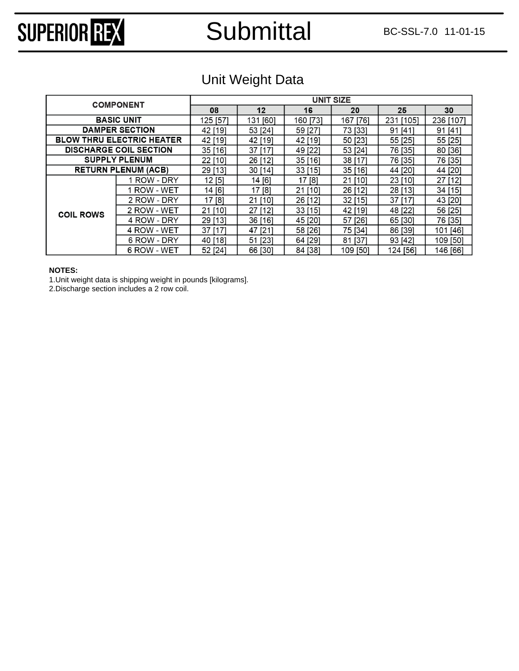### Submittal BC-SSL-7.0 11-01-15

# SUPERIOR REX

### Unit Weight Data

|                  |                                  | <b>UNIT SIZE</b> |              |           |             |              |           |  |  |  |  |
|------------------|----------------------------------|------------------|--------------|-----------|-------------|--------------|-----------|--|--|--|--|
|                  | <b>COMPONENT</b>                 |                  |              |           |             |              |           |  |  |  |  |
|                  |                                  | 08               | $12 \,$      | 16        | 20          | 25           | 30        |  |  |  |  |
|                  | <b>BASIC UNIT</b>                | 125 [57]         | 131 [60]     | 160 [73]  | 167<br>[76] | 231<br>[105] | 236 [107] |  |  |  |  |
|                  | <b>DAMPER SECTION</b>            | 42 [19]          | 53 [24]      | 59 [27]   | 73 [33]     | 91 [41]      | 91 [41]   |  |  |  |  |
|                  | <b>BLOW THRU ELECTRIC HEATER</b> | 42 [19]          | 42 [19]      | 42 [19]   | 50 [23]     | 55 [25]      | 55 [25]   |  |  |  |  |
|                  | <b>DISCHARGE COIL SECTION</b>    | 35 [16]          | 37<br>$[17]$ | 49 [22]   | 53 [24]     | 76 [35]      | 80 [36]   |  |  |  |  |
|                  | <b>SUPPLY PLENUM</b>             | 22 [10]          | 26<br>$[12]$ | 35 [16]   | 38 [17]     | 76 [35]      | 76 [35]   |  |  |  |  |
|                  | <b>RETURN PLENUM (ACB)</b>       | 29 [13]          | 30 [14]      | $33$ [15] | 35 [16]     | 44 [20]      | 44 [20]   |  |  |  |  |
|                  | 1 ROW - DRY                      | 12[5]            | 14 [6]       | 17 [8]    | 21 [10]     | 23 [10]      | 27 [12]   |  |  |  |  |
|                  | ROW - WET                        | 14 [6]           | 17[8]        | 21 [10]   | 26 [12]     | 28 [13]      | 34 [15]   |  |  |  |  |
|                  | 2 ROW - DRY                      | 17 [8]           | 21 [10]      | 26 [12]   | 32 [15]     | 37 [17]      | 43 [20]   |  |  |  |  |
| <b>COIL ROWS</b> | 2 ROW - WET                      | 21 [10]          | $[12]$<br>27 | 33[15]    | 42 [19]     | 48 [22]      | 56 [25]   |  |  |  |  |
|                  | 4 ROW - DRY                      | 29 [13]          | 36 [16]      | 45 [20]   | 57 [26]     | 65 [30]      | 76 [35]   |  |  |  |  |
|                  | 4 ROW - WET                      | 37 [17]          | 47 [21]      | 58 [26]   | 75 [34]     | 86 [39]      | 101 [46]  |  |  |  |  |
|                  | 6 ROW - DRY                      | 40 [18]          | 51 [23]      | 64 [29]   | 81 [37]     | 93 [42]      | 109 [50]  |  |  |  |  |
|                  | 6 ROW - WET                      | 52 [24]          | 66 [30]      | 84 [38]   | 109 [50]    | 124 [56]     | 146 [66]  |  |  |  |  |

#### **NOTES:**

1.Unit weight data is shipping weight in pounds [kilograms].

2.Discharge section includes a 2 row coil.